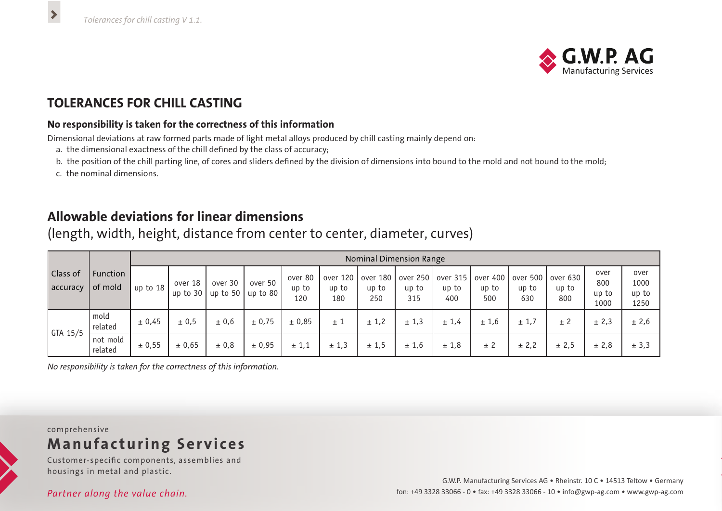

## **TOLERANCES FOR CHILL CASTING**

#### **No responsibility is taken for the correctness of this information**

Dimensional deviations at raw formed parts made of light metal alloys produced by chill casting mainly depend on:

- a. the dimensional exactness of the chill defined by the class of accuracy;
- b. the position of the chill parting line, of cores and sliders defined by the division of dimensions into bound to the mold and not bound to the mold;
- c. the nominal dimensions.

 $\blacktriangleright$ 

## **Allowable deviations for linear dimensions**

| Class of<br>  accuracy | Function<br>of mold | Nominal Dimension Range |                       |                                              |         |                         |                          |                          |              |              |              |              |                                                                        |                              |                               |  |
|------------------------|---------------------|-------------------------|-----------------------|----------------------------------------------|---------|-------------------------|--------------------------|--------------------------|--------------|--------------|--------------|--------------|------------------------------------------------------------------------|------------------------------|-------------------------------|--|
|                        |                     | up to $18$              | over 18<br>up to $30$ | over 30<br>$\vert$ up to 50 $\vert$ up to 80 | over 50 | over 80<br>up to<br>120 | over 120<br>up to<br>180 | over 180<br>up to<br>250 | up to<br>315 | up to<br>400 | up to<br>500 | up to<br>630 | over 250   over 315   over 400   over 500   over 630  <br>up to<br>800 | over<br>800<br>up to<br>1000 | over<br>1000<br>up to<br>1250 |  |
| $\int$ GTA 15/5        | mold<br>related     | ± 0,45                  | ± 0.5                 | ± 0,6                                        | ± 0,75  | ± 0,85                  | $\pm$ 1                  | ± 1,2                    | ± 1,3        | ± 1.4        | ± 1,6        | ± 1,7        | ± 2                                                                    | ± 2,3                        | ± 2,6                         |  |
|                        | not mold<br>related | ± 0,55                  | ± 0,65                | ± 0,8                                        | ± 0,95  | ± 1,1                   | ± 1,3                    | ± 1,5                    | ± 1,6        | ± 1,8        | ± 2          | ± 2,2        | ± 2,5                                                                  | ± 2,8                        | ± 3,3                         |  |

(length, width, height, distance from center to center, diameter, curves)

*No responsibility is taken for the correctness of this information.*

### comprehensive **Manufacturing Services**

Customer-specific components, assemblies and

# housings in metal and plastic.

*Partner along the value chain.*